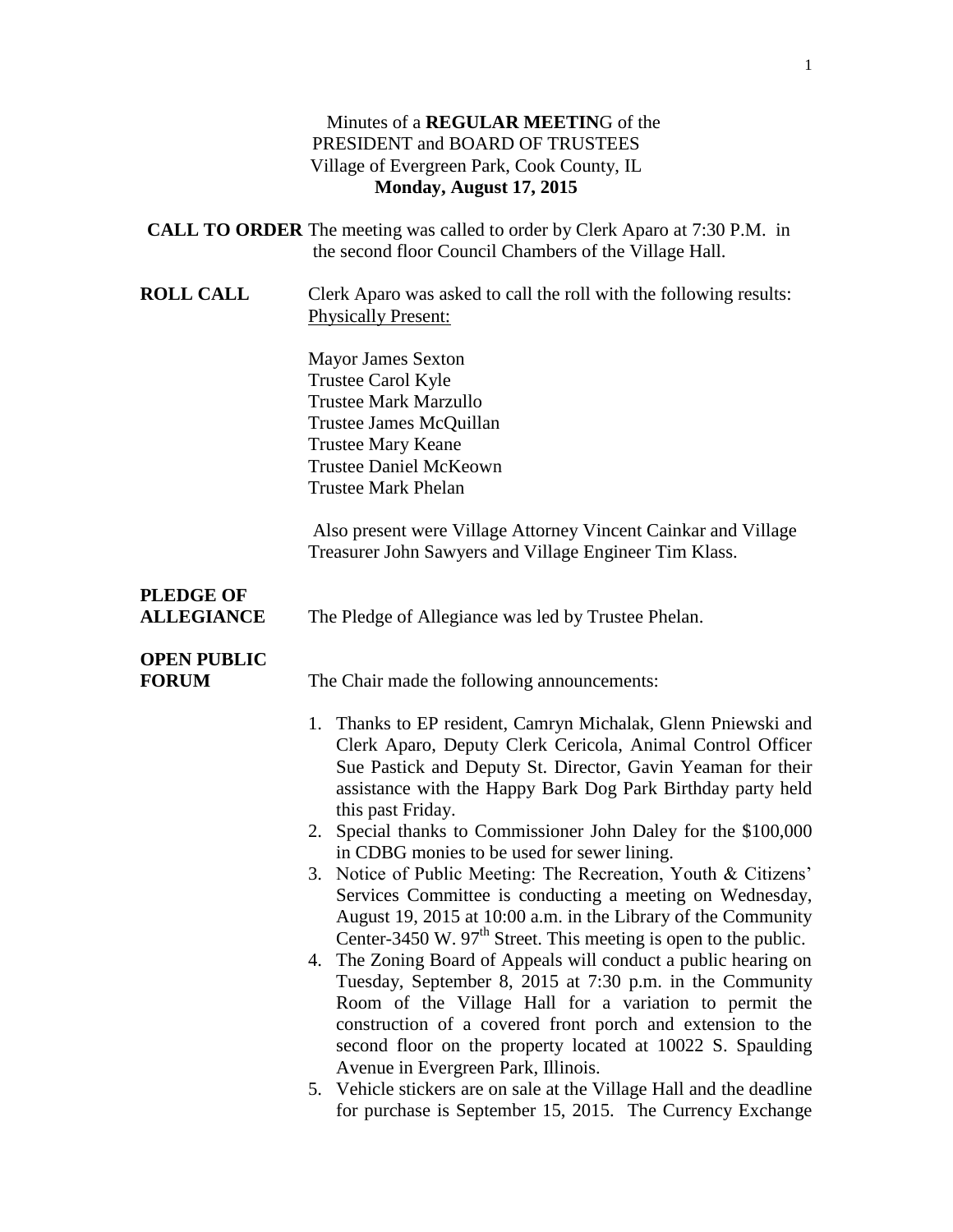#### Minutes of a **REGULAR MEETIN**G of the PRESIDENT and BOARD OF TRUSTEES Village of Evergreen Park, Cook County, IL **Monday, August 17, 2015**

|                                       | <b>CALL TO ORDER</b> The meeting was called to order by Clerk Aparo at 7:30 P.M. in<br>the second floor Council Chambers of the Village Hall.                                                                                                                                                                                                                                                                                                                                                                                                                                                                                                                                                                                                                                                                                                                                                                                                                                                                                             |
|---------------------------------------|-------------------------------------------------------------------------------------------------------------------------------------------------------------------------------------------------------------------------------------------------------------------------------------------------------------------------------------------------------------------------------------------------------------------------------------------------------------------------------------------------------------------------------------------------------------------------------------------------------------------------------------------------------------------------------------------------------------------------------------------------------------------------------------------------------------------------------------------------------------------------------------------------------------------------------------------------------------------------------------------------------------------------------------------|
| <b>ROLL CALL</b>                      | Clerk Aparo was asked to call the roll with the following results:<br><b>Physically Present:</b>                                                                                                                                                                                                                                                                                                                                                                                                                                                                                                                                                                                                                                                                                                                                                                                                                                                                                                                                          |
|                                       | <b>Mayor James Sexton</b><br>Trustee Carol Kyle<br><b>Trustee Mark Marzullo</b><br>Trustee James McQuillan<br><b>Trustee Mary Keane</b><br><b>Trustee Daniel McKeown</b><br><b>Trustee Mark Phelan</b>                                                                                                                                                                                                                                                                                                                                                                                                                                                                                                                                                                                                                                                                                                                                                                                                                                    |
|                                       | Also present were Village Attorney Vincent Cainkar and Village<br>Treasurer John Sawyers and Village Engineer Tim Klass.                                                                                                                                                                                                                                                                                                                                                                                                                                                                                                                                                                                                                                                                                                                                                                                                                                                                                                                  |
| <b>PLEDGE OF</b><br><b>ALLEGIANCE</b> | The Pledge of Allegiance was led by Trustee Phelan.                                                                                                                                                                                                                                                                                                                                                                                                                                                                                                                                                                                                                                                                                                                                                                                                                                                                                                                                                                                       |
| <b>OPEN PUBLIC</b><br><b>FORUM</b>    | The Chair made the following announcements:                                                                                                                                                                                                                                                                                                                                                                                                                                                                                                                                                                                                                                                                                                                                                                                                                                                                                                                                                                                               |
|                                       | 1. Thanks to EP resident, Camryn Michalak, Glenn Pniewski and<br>Clerk Aparo, Deputy Clerk Cericola, Animal Control Officer<br>Sue Pastick and Deputy St. Director, Gavin Yeaman for their<br>assistance with the Happy Bark Dog Park Birthday party held<br>this past Friday.<br>2. Special thanks to Commissioner John Daley for the \$100,000<br>in CDBG monies to be used for sewer lining.<br>3. Notice of Public Meeting: The Recreation, Youth & Citizens'<br>Services Committee is conducting a meeting on Wednesday,<br>August 19, 2015 at 10:00 a.m. in the Library of the Community<br>Center-3450 W. 97 <sup>th</sup> Street. This meeting is open to the public.<br>4. The Zoning Board of Appeals will conduct a public hearing on<br>Tuesday, September 8, 2015 at 7:30 p.m. in the Community<br>Room of the Village Hall for a variation to permit the<br>construction of a covered front porch and extension to the<br>second floor on the property located at 10022 S. Spaulding<br>Avenue in Evergreen Park, Illinois. |
|                                       | 5. Vehicle stickers are on sale at the Village Hall and the deadline<br>for purchase is September 15, 2015. The Currency Exchange                                                                                                                                                                                                                                                                                                                                                                                                                                                                                                                                                                                                                                                                                                                                                                                                                                                                                                         |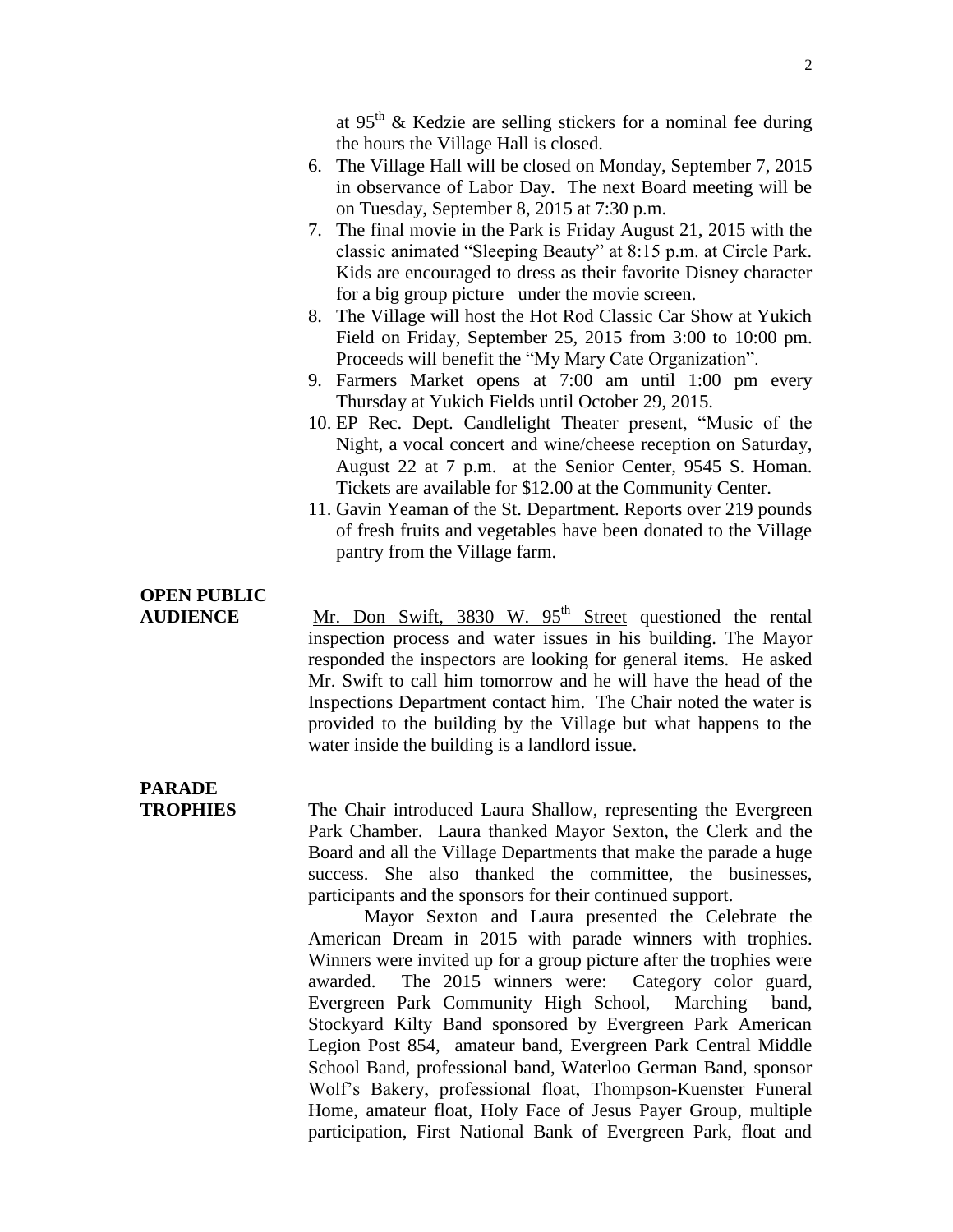at 95<sup>th</sup> & Kedzie are selling stickers for a nominal fee during the hours the Village Hall is closed.

- 6. The Village Hall will be closed on Monday, September 7, 2015 in observance of Labor Day. The next Board meeting will be on Tuesday, September 8, 2015 at 7:30 p.m.
- 7. The final movie in the Park is Friday August 21, 2015 with the classic animated "Sleeping Beauty" at 8:15 p.m. at Circle Park. Kids are encouraged to dress as their favorite Disney character for a big group picture under the movie screen.
- 8. The Village will host the Hot Rod Classic Car Show at Yukich Field on Friday, September 25, 2015 from 3:00 to 10:00 pm. Proceeds will benefit the "My Mary Cate Organization".
- 9. Farmers Market opens at 7:00 am until 1:00 pm every Thursday at Yukich Fields until October 29, 2015.
- 10. EP Rec. Dept. Candlelight Theater present, "Music of the Night, a vocal concert and wine/cheese reception on Saturday, August 22 at 7 p.m. at the Senior Center, 9545 S. Homan. Tickets are available for \$12.00 at the Community Center.
- 11. Gavin Yeaman of the St. Department. Reports over 219 pounds of fresh fruits and vegetables have been donated to the Village pantry from the Village farm.

## **OPEN PUBLIC**

AUDIENCE Mr. Don Swift, 3830 W. 95<sup>th</sup> Street questioned the rental inspection process and water issues in his building. The Mayor responded the inspectors are looking for general items. He asked Mr. Swift to call him tomorrow and he will have the head of the Inspections Department contact him. The Chair noted the water is provided to the building by the Village but what happens to the water inside the building is a landlord issue.

# **PARADE**

**TROPHIES** The Chair introduced Laura Shallow, representing the Evergreen Park Chamber. Laura thanked Mayor Sexton, the Clerk and the Board and all the Village Departments that make the parade a huge success. She also thanked the committee, the businesses, participants and the sponsors for their continued support.

> Mayor Sexton and Laura presented the Celebrate the American Dream in 2015 with parade winners with trophies. Winners were invited up for a group picture after the trophies were awarded. The 2015 winners were: Category color guard, Evergreen Park Community High School, Marching band, Stockyard Kilty Band sponsored by Evergreen Park American Legion Post 854, amateur band, Evergreen Park Central Middle School Band, professional band, Waterloo German Band, sponsor Wolf's Bakery, professional float, Thompson-Kuenster Funeral Home, amateur float, Holy Face of Jesus Payer Group, multiple participation, First National Bank of Evergreen Park, float and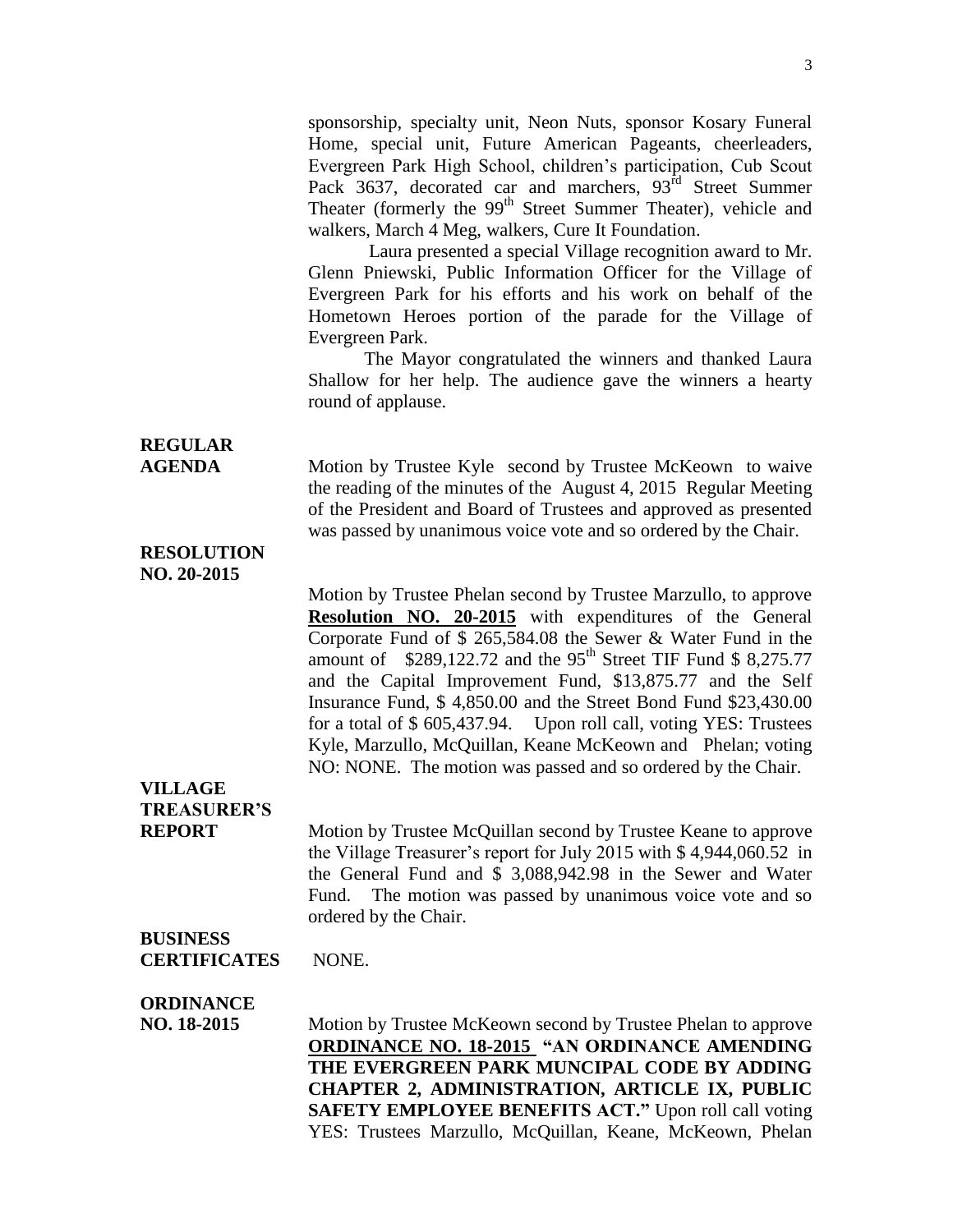sponsorship, specialty unit, Neon Nuts, sponsor Kosary Funeral Home, special unit, Future American Pageants, cheerleaders, Evergreen Park High School, children's participation, Cub Scout Pack 3637, decorated car and marchers, 93<sup>rd</sup> Street Summer Theater (formerly the 99<sup>th</sup> Street Summer Theater), vehicle and walkers, March 4 Meg, walkers, Cure It Foundation.

Laura presented a special Village recognition award to Mr. Glenn Pniewski, Public Information Officer for the Village of Evergreen Park for his efforts and his work on behalf of the Hometown Heroes portion of the parade for the Village of Evergreen Park.

The Mayor congratulated the winners and thanked Laura Shallow for her help. The audience gave the winners a hearty round of applause.

## **REGULAR**

**AGENDA** Motion by Trustee Kyle second by Trustee McKeown to waive the reading of the minutes of the August 4, 2015 Regular Meeting of the President and Board of Trustees and approved as presented was passed by unanimous voice vote and so ordered by the Chair.

#### **RESOLUTION NO. 20-2015**

Motion by Trustee Phelan second by Trustee Marzullo, to approve **Resolution NO. 20-2015** with expenditures of the General Corporate Fund of \$ 265,584.08 the Sewer & Water Fund in the amount of  $$289,122.72$  and the 95<sup>th</sup> Street TIF Fund \$ 8,275.77 and the Capital Improvement Fund, \$13,875.77 and the Self Insurance Fund, \$ 4,850.00 and the Street Bond Fund \$23,430.00 for a total of \$ 605,437.94. Upon roll call, voting YES: Trustees Kyle, Marzullo, McQuillan, Keane McKeown and Phelan; voting NO: NONE. The motion was passed and so ordered by the Chair.

#### **VILLAGE TREASURER'S**

**REPORT** Motion by Trustee McQuillan second by Trustee Keane to approve the Village Treasurer's report for July 2015 with \$ 4,944,060.52 in the General Fund and \$ 3,088,942.98 in the Sewer and Water Fund. The motion was passed by unanimous voice vote and so ordered by the Chair.

### **BUSINESS**

**CERTIFICATES** NONE.

#### **ORDINANCE**

**NO. 18-2015** Motion by Trustee McKeown second by Trustee Phelan to approve **ORDINANCE NO. 18-2015 "AN ORDINANCE AMENDING THE EVERGREEN PARK MUNCIPAL CODE BY ADDING CHAPTER 2, ADMINISTRATION, ARTICLE IX, PUBLIC SAFETY EMPLOYEE BENEFITS ACT."** Upon roll call voting YES: Trustees Marzullo, McQuillan, Keane, McKeown, Phelan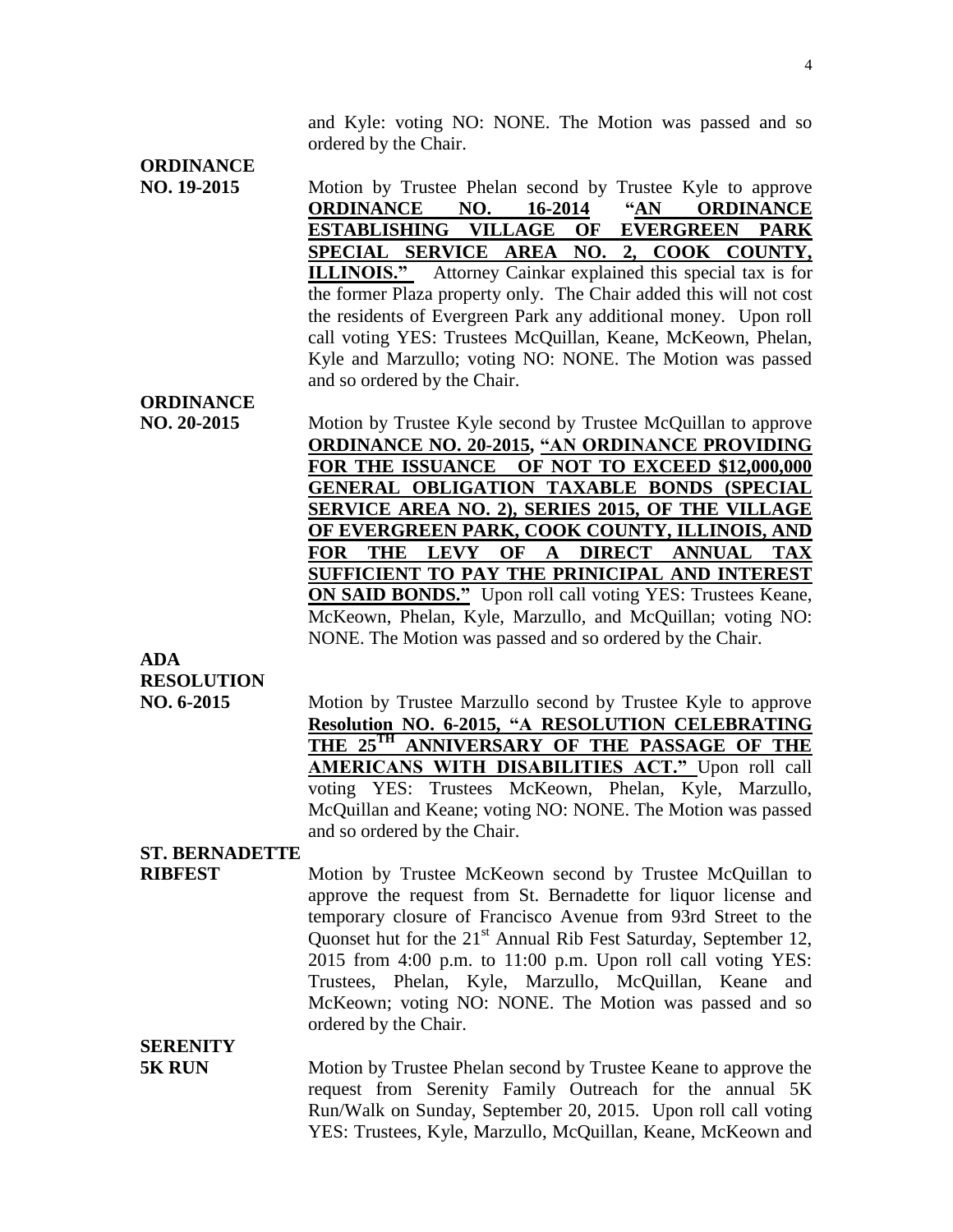and Kyle: voting NO: NONE. The Motion was passed and so ordered by the Chair.

### **ORDINANCE**

- **NO. 19-2015** Motion by Trustee Phelan second by Trustee Kyle to approve **ORDINANCE NO. 16-2014 "AN ORDINANCE ESTABLISHING VILLAGE OF EVERGREEN PARK SPECIAL SERVICE AREA NO. 2, COOK COUNTY, ILLINOIS."** Attorney Cainkar explained this special tax is for the former Plaza property only. The Chair added this will not cost the residents of Evergreen Park any additional money. Upon roll call voting YES: Trustees McQuillan, Keane, McKeown, Phelan, Kyle and Marzullo; voting NO: NONE. The Motion was passed and so ordered by the Chair. **ORDINANCE NO. 20-2015** Motion by Trustee Kyle second by Trustee McQuillan to approve
- **ORDINANCE NO. 20-2015, "AN ORDINANCE PROVIDING FOR THE ISSUANCE OF NOT TO EXCEED \$12,000,000 GENERAL OBLIGATION TAXABLE BONDS (SPECIAL SERVICE AREA NO. 2), SERIES 2015, OF THE VILLAGE OF EVERGREEN PARK, COOK COUNTY, ILLINOIS, AND FOR THE LEVY OF A DIRECT ANNUAL TAX SUFFICIENT TO PAY THE PRINICIPAL AND INTEREST ON SAID BONDS."** Upon roll call voting YES: Trustees Keane, McKeown, Phelan, Kyle, Marzullo, and McQuillan; voting NO: NONE. The Motion was passed and so ordered by the Chair.

## **ADA RESOLUTION**

**NO. 6-2015** Motion by Trustee Marzullo second by Trustee Kyle to approve **Resolution NO. 6-2015, "A RESOLUTION CELEBRATING THE 25TH ANNIVERSARY OF THE PASSAGE OF THE AMERICANS WITH DISABILITIES ACT."** Upon roll call voting YES: Trustees McKeown, Phelan, Kyle, Marzullo, McQuillan and Keane; voting NO: NONE. The Motion was passed and so ordered by the Chair.

#### **ST. BERNADETTE**

**RIBFEST** Motion by Trustee McKeown second by Trustee McQuillan to approve the request from St. Bernadette for liquor license and temporary closure of Francisco Avenue from 93rd Street to the Quonset hut for the 21<sup>st</sup> Annual Rib Fest Saturday, September 12, 2015 from 4:00 p.m. to 11:00 p.m. Upon roll call voting YES: Trustees, Phelan, Kyle, Marzullo, McQuillan, Keane and McKeown; voting NO: NONE. The Motion was passed and so ordered by the Chair.

### **SERENITY**

**5K RUN** Motion by Trustee Phelan second by Trustee Keane to approve the request from Serenity Family Outreach for the annual 5K Run/Walk on Sunday, September 20, 2015. Upon roll call voting YES: Trustees, Kyle, Marzullo, McQuillan, Keane, McKeown and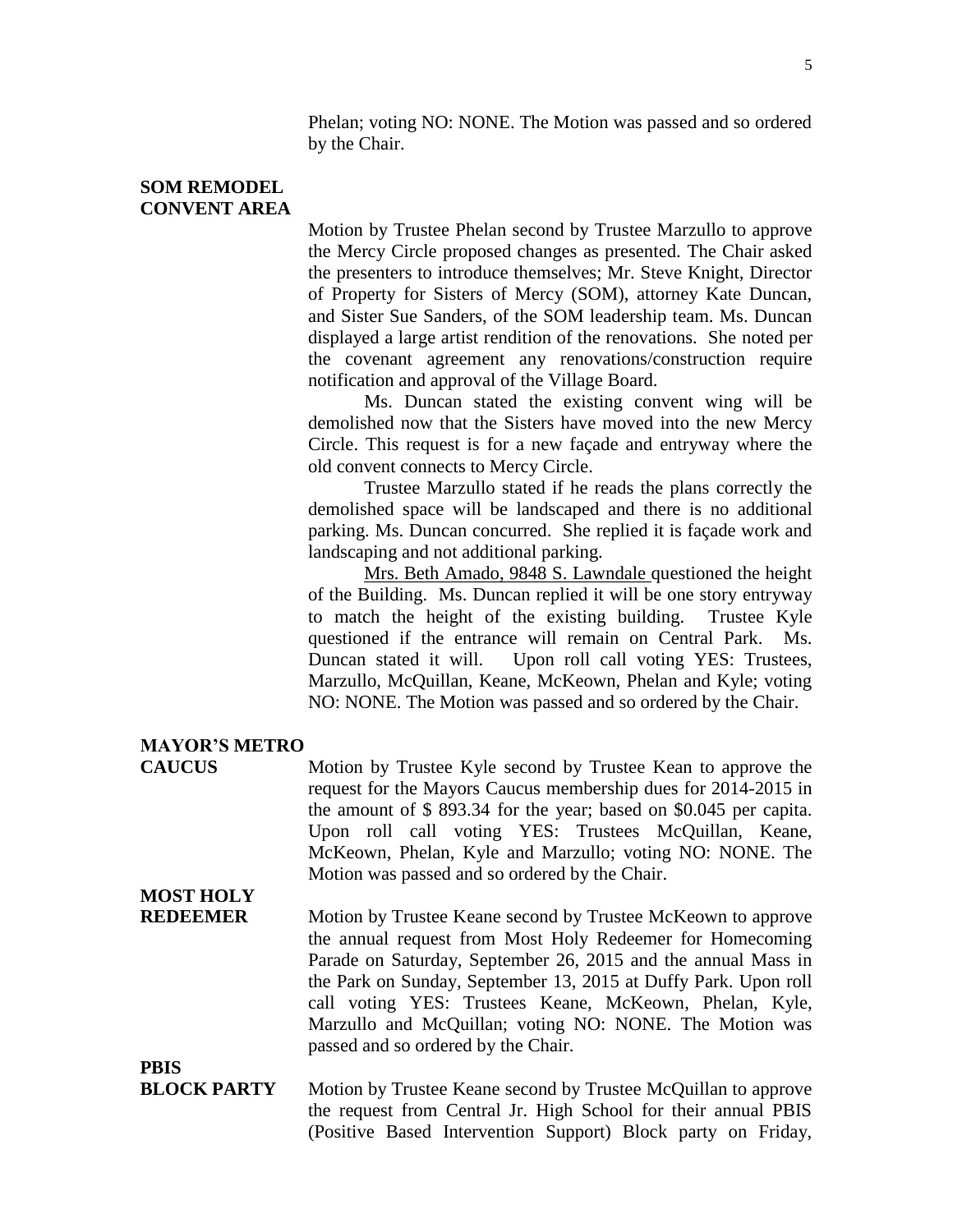Phelan; voting NO: NONE. The Motion was passed and so ordered by the Chair.

#### **SOM REMODEL CONVENT AREA**

Motion by Trustee Phelan second by Trustee Marzullo to approve the Mercy Circle proposed changes as presented. The Chair asked the presenters to introduce themselves; Mr. Steve Knight, Director of Property for Sisters of Mercy (SOM), attorney Kate Duncan, and Sister Sue Sanders, of the SOM leadership team. Ms. Duncan displayed a large artist rendition of the renovations. She noted per the covenant agreement any renovations/construction require notification and approval of the Village Board.

Ms. Duncan stated the existing convent wing will be demolished now that the Sisters have moved into the new Mercy Circle. This request is for a new façade and entryway where the old convent connects to Mercy Circle.

Trustee Marzullo stated if he reads the plans correctly the demolished space will be landscaped and there is no additional parking. Ms. Duncan concurred. She replied it is façade work and landscaping and not additional parking.

Mrs. Beth Amado, 9848 S. Lawndale questioned the height of the Building. Ms. Duncan replied it will be one story entryway to match the height of the existing building. Trustee Kyle questioned if the entrance will remain on Central Park. Ms. Duncan stated it will. Upon roll call voting YES: Trustees, Marzullo, McQuillan, Keane, McKeown, Phelan and Kyle; voting NO: NONE. The Motion was passed and so ordered by the Chair.

#### **MAYOR'S METRO**

**CAUCUS** Motion by Trustee Kyle second by Trustee Kean to approve the request for the Mayors Caucus membership dues for 2014-2015 in the amount of \$ 893.34 for the year; based on \$0.045 per capita. Upon roll call voting YES: Trustees McQuillan, Keane, McKeown, Phelan, Kyle and Marzullo; voting NO: NONE. The Motion was passed and so ordered by the Chair.

# **MOST HOLY**

**REDEEMER** Motion by Trustee Keane second by Trustee McKeown to approve the annual request from Most Holy Redeemer for Homecoming Parade on Saturday, September 26, 2015 and the annual Mass in the Park on Sunday, September 13, 2015 at Duffy Park. Upon roll call voting YES: Trustees Keane, McKeown, Phelan, Kyle, Marzullo and McQuillan; voting NO: NONE. The Motion was passed and so ordered by the Chair.

**PBIS**

**BLOCK PARTY** Motion by Trustee Keane second by Trustee McQuillan to approve the request from Central Jr. High School for their annual PBIS (Positive Based Intervention Support) Block party on Friday,